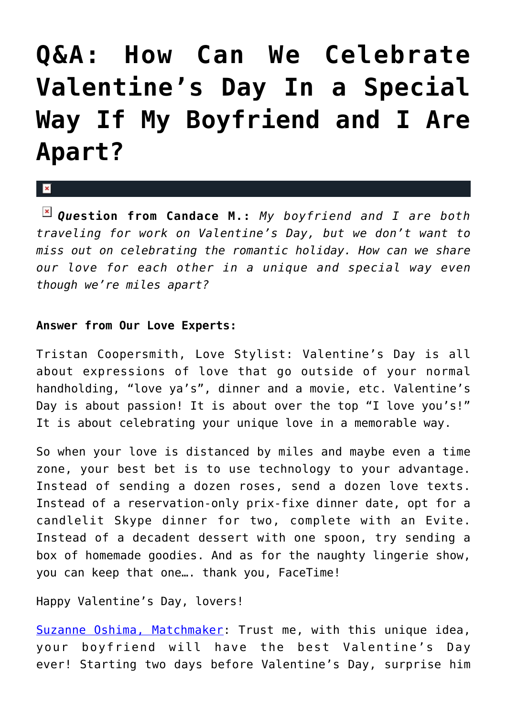## **[Q&A: How Can We Celebrate](https://cupidspulse.com/44830/qa-celebrate-valentines-day-apart/) [Valentine's Day In a Special](https://cupidspulse.com/44830/qa-celebrate-valentines-day-apart/) [Way If My Boyfriend and I Are](https://cupidspulse.com/44830/qa-celebrate-valentines-day-apart/) [Apart?](https://cupidspulse.com/44830/qa-celebrate-valentines-day-apart/)**

 $\mathbf{R}$ 

*Que***stion from Candace M.:** *My boyfriend and I are both traveling for work on Valentine's Day, but we don't want to miss out on celebrating the romantic holiday. How can we share our love for each other in a unique and special way even though we're miles apart?* 

## **Answer from Our Love Experts:**

Tristan Coopersmith, Love Stylist: Valentine's Day is all about expressions of love that go outside of your normal handholding, "love ya's", dinner and a movie, etc. Valentine's Day is about passion! It is about over the top "I love you's!" It is about celebrating your unique love in a memorable way.

So when your love is distanced by miles and maybe even a time zone, your best bet is to use technology to your advantage. Instead of sending a dozen roses, send a dozen love texts. Instead of a reservation-only prix-fixe dinner date, opt for a candlelit Skype dinner for two, complete with an Evite. Instead of a decadent dessert with one spoon, try sending a box of homemade goodies. And as for the naughty lingerie show, you can keep that one…. thank you, FaceTime!

Happy Valentine's Day, lovers!

[Suzanne Oshima, Matchmaker](http://www.dreambachelor.com): Trust me, with this unique idea, your boyfriend will have the best Valentine's Day ever! Starting two days before Valentine's Day, surprise him